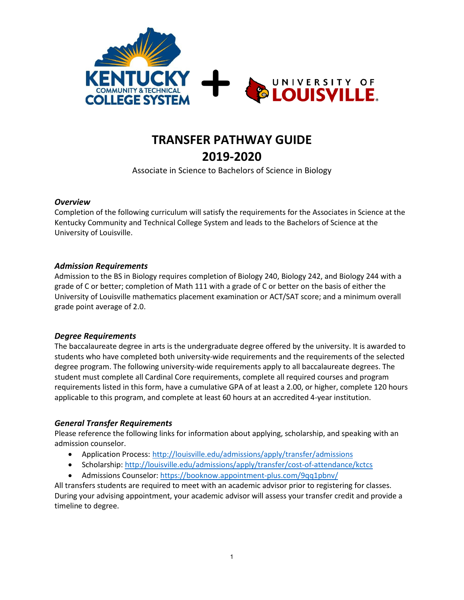

# **TRANSFER PATHWAY GUIDE**

**2019-2020** 

Associate in Science to Bachelors of Science in Biology

#### *Overview*

Completion of the following curriculum will satisfy the requirements for the Associates in Science at the Kentucky Community and Technical College System and leads to the Bachelors of Science at the University of Louisville.

#### *Admission Requirements*

Admission to the BS in Biology requires completion of Biology 240, Biology 242, and Biology 244 with a grade of C or better; completion of Math 111 with a grade of C or better on the basis of either the University of Louisville mathematics placement examination or ACT/SAT score; and a minimum overall grade point average of 2.0.

#### *Degree Requirements*

The baccalaureate degree in arts is the undergraduate degree offered by the university. It is awarded to students who have completed both university-wide requirements and the requirements of the selected degree program. The following university-wide requirements apply to all baccalaureate degrees. The student must complete all Cardinal Core requirements, complete all required courses and program requirements listed in this form, have a cumulative GPA of at least a 2.00, or higher, complete 120 hours applicable to this program, and complete at least 60 hours at an accredited 4-year institution.

#### *General Transfer Requirements*

Please reference the following links for information about applying, scholarship, and speaking with an admission counselor.

- Application Process: <http://louisville.edu/admissions/apply/transfer/admissions>
- Scholarship: <http://louisville.edu/admissions/apply/transfer/cost-of-attendance/kctcs>
- Admissions Counselor: <https://booknow.appointment-plus.com/9qq1pbnv/>

All transfers students are required to meet with an academic advisor prior to registering for classes. During your advising appointment, your academic advisor will assess your transfer credit and provide a timeline to degree.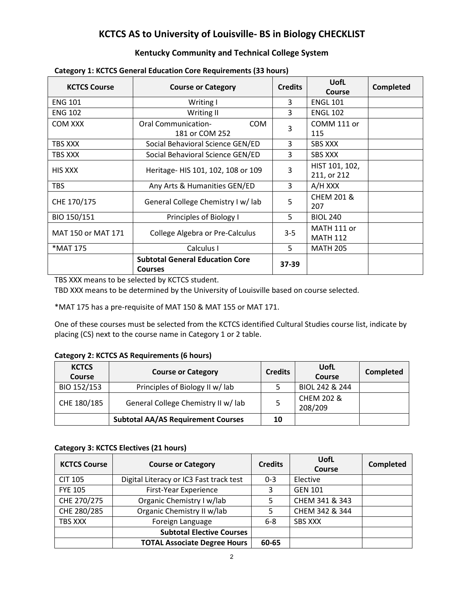### **KCTCS AS to University of Louisville- BS in Biology CHECKLIST**

#### **Kentucky Community and Technical College System**

| <b>KCTCS Course</b> | <b>Course or Category</b>                                | <b>Credits</b> | <b>UofL</b><br><b>Course</b>   | <b>Completed</b> |
|---------------------|----------------------------------------------------------|----------------|--------------------------------|------------------|
| <b>ENG 101</b>      | Writing I                                                | 3              | <b>ENGL 101</b>                |                  |
| <b>ENG 102</b>      | Writing II                                               | 3              | <b>ENGL 102</b>                |                  |
| COM XXX             | <b>Oral Communication-</b><br>COM<br>181 or COM 252      | 3              | COMM 111 or<br>115             |                  |
| TBS XXX             | Social Behavioral Science GEN/ED                         | 3              | <b>SBS XXX</b>                 |                  |
| TBS XXX             | Social Behavioral Science GEN/ED                         | 3              | <b>SBS XXX</b>                 |                  |
| HIS XXX             | Heritage- HIS 101, 102, 108 or 109                       | 3              | HIST 101, 102,<br>211, or 212  |                  |
| <b>TBS</b>          | Any Arts & Humanities GEN/ED                             | 3              | A/H XXX                        |                  |
| CHE 170/175         | General College Chemistry I w/ lab                       | 5              | <b>CHEM 201 &amp;</b><br>207   |                  |
| BIO 150/151         | Principles of Biology I                                  | 5              | <b>BIOL 240</b>                |                  |
| MAT 150 or MAT 171  | College Algebra or Pre-Calculus                          | $3 - 5$        | MATH 111 or<br><b>MATH 112</b> |                  |
| *MAT 175            | Calculus I                                               | 5              | <b>MATH 205</b>                |                  |
|                     | <b>Subtotal General Education Core</b><br><b>Courses</b> | 37-39          |                                |                  |

#### **Category 1: KCTCS General Education Core Requirements (33 hours)**

TBS XXX means to be selected by KCTCS student.

TBD XXX means to be determined by the University of Louisville based on course selected.

\*MAT 175 has a pre-requisite of MAT 150 & MAT 155 or MAT 171.

One of these courses must be selected from the KCTCS identified Cultural Studies course list, indicate by placing (CS) next to the course name in Category 1 or 2 table.

#### **Category 2: KCTCS AS Requirements (6 hours)**

| <b>KCTCS</b><br><b>Course</b> | <b>Course or Category</b>                 | <b>Credits</b> | UofL<br>Course        | <b>Completed</b> |
|-------------------------------|-------------------------------------------|----------------|-----------------------|------------------|
| BIO 152/153                   | Principles of Biology II w/lab            |                | BIOL 242 & 244        |                  |
| CHE 180/185                   | General College Chemistry II w/ lab       |                | CHEM 202 &<br>208/209 |                  |
|                               | <b>Subtotal AA/AS Requirement Courses</b> | 10             |                       |                  |

#### **Category 3: KCTCS Electives (21 hours)**

| <b>KCTCS Course</b> | <b>Course or Category</b>               | <b>Credits</b> | UofL<br>Course | Completed |
|---------------------|-----------------------------------------|----------------|----------------|-----------|
| <b>CIT 105</b>      | Digital Literacy or IC3 Fast track test | $0 - 3$        | Elective       |           |
| <b>FYE 105</b>      | First-Year Experience                   | 3              | <b>GEN 101</b> |           |
| CHE 270/275         | Organic Chemistry I w/lab               |                | CHEM 341 & 343 |           |
| CHE 280/285         | Organic Chemistry II w/lab              |                | CHEM 342 & 344 |           |
| TBS XXX             | Foreign Language                        | $6 - 8$        | <b>SBS XXX</b> |           |
|                     | <b>Subtotal Elective Courses</b>        |                |                |           |
|                     | <b>TOTAL Associate Degree Hours</b>     | 60-65          |                |           |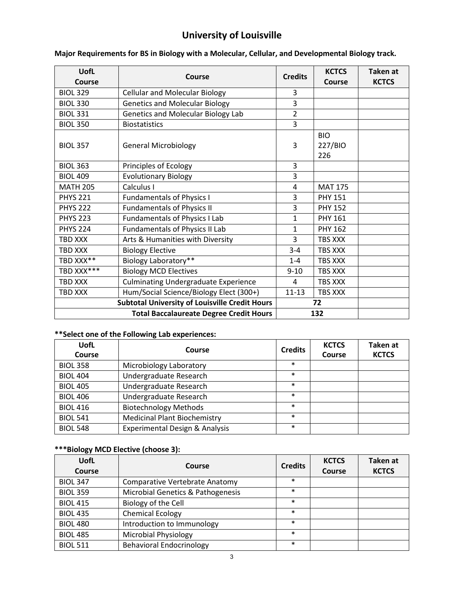## **University of Louisville**

| <b>UofL</b>                                           | <b>Credits</b><br>Course                       |                | <b>KCTCS</b>                 | <b>Taken at</b> |
|-------------------------------------------------------|------------------------------------------------|----------------|------------------------------|-----------------|
| Course                                                |                                                |                | Course                       | <b>KCTCS</b>    |
| <b>BIOL 329</b>                                       | <b>Cellular and Molecular Biology</b>          | 3              |                              |                 |
| <b>BIOL 330</b>                                       | <b>Genetics and Molecular Biology</b>          | 3              |                              |                 |
| <b>BIOL 331</b>                                       | Genetics and Molecular Biology Lab             | $\overline{2}$ |                              |                 |
| <b>BIOL 350</b>                                       | <b>Biostatistics</b>                           | 3              |                              |                 |
| <b>BIOL 357</b>                                       | <b>General Microbiology</b>                    | 3              | <b>BIO</b><br>227/BIO<br>226 |                 |
| <b>BIOL 363</b>                                       | Principles of Ecology                          | 3              |                              |                 |
| <b>BIOL 409</b>                                       | <b>Evolutionary Biology</b>                    | 3              |                              |                 |
| <b>MATH 205</b>                                       | Calculus I                                     | $\overline{4}$ | <b>MAT 175</b>               |                 |
| <b>PHYS 221</b>                                       | <b>Fundamentals of Physics I</b>               | 3              | <b>PHY 151</b>               |                 |
| <b>PHYS 222</b>                                       | <b>Fundamentals of Physics II</b>              | 3              | <b>PHY 152</b>               |                 |
| <b>PHYS 223</b>                                       | <b>Fundamentals of Physics I Lab</b>           | $\mathbf{1}$   | <b>PHY 161</b>               |                 |
| <b>PHYS 224</b>                                       | Fundamentals of Physics II Lab                 | $\mathbf{1}$   | <b>PHY 162</b>               |                 |
| <b>TBD XXX</b>                                        | Arts & Humanities with Diversity               | 3              | TBS XXX                      |                 |
| TBD XXX                                               | <b>Biology Elective</b>                        | $3 - 4$        | TBS XXX                      |                 |
| TBD XXX**                                             | Biology Laboratory**                           | $1 - 4$        | TBS XXX                      |                 |
| TBD XXX***                                            | <b>Biology MCD Electives</b>                   | $9 - 10$       | TBS XXX                      |                 |
| TBD XXX                                               | <b>Culminating Undergraduate Experience</b>    | 4              | TBS XXX                      |                 |
| <b>TBD XXX</b>                                        | Hum/Social Science/Biology Elect (300+)        | $11 - 13$      | TBS XXX                      |                 |
| <b>Subtotal University of Louisville Credit Hours</b> |                                                |                | 72                           |                 |
|                                                       | <b>Total Baccalaureate Degree Credit Hours</b> |                | 132                          |                 |

#### **Major Requirements for BS in Biology with a Molecular, Cellular, and Developmental Biology track.**

#### **\*\*Select one of the Following Lab experiences:**

| <b>UofL</b><br>Course | Course                              | <b>Credits</b> | <b>KCTCS</b><br><b>Course</b> | Taken at<br><b>KCTCS</b> |
|-----------------------|-------------------------------------|----------------|-------------------------------|--------------------------|
| <b>BIOL 358</b>       | Microbiology Laboratory             | $\ast$         |                               |                          |
| <b>BIOL 404</b>       | Undergraduate Research              | $\ast$         |                               |                          |
| <b>BIOL 405</b>       | Undergraduate Research              | $\ast$         |                               |                          |
| <b>BIOL 406</b>       | Undergraduate Research              | $\ast$         |                               |                          |
| <b>BIOL 416</b>       | <b>Biotechnology Methods</b>        | $\ast$         |                               |                          |
| <b>BIOL 541</b>       | <b>Medicinal Plant Biochemistry</b> | $\ast$         |                               |                          |
| <b>BIOL 548</b>       | Experimental Design & Analysis      | $\ast$         |                               |                          |

#### **\*\*\*Biology MCD Elective (choose 3):**

| <b>UofL</b><br>Course | Course                                | <b>Credits</b> | <b>KCTCS</b><br>Course | <b>Taken</b> at<br><b>KCTCS</b> |
|-----------------------|---------------------------------------|----------------|------------------------|---------------------------------|
| <b>BIOL 347</b>       | <b>Comparative Vertebrate Anatomy</b> | $\ast$         |                        |                                 |
| <b>BIOL 359</b>       | Microbial Genetics & Pathogenesis     | $\ast$         |                        |                                 |
| <b>BIOL 415</b>       | Biology of the Cell                   | $\ast$         |                        |                                 |
| <b>BIOL 435</b>       | <b>Chemical Ecology</b>               | $\ast$         |                        |                                 |
| <b>BIOL 480</b>       | Introduction to Immunology            | $\ast$         |                        |                                 |
| <b>BIOL 485</b>       | <b>Microbial Physiology</b>           | $\ast$         |                        |                                 |
| <b>BIOL 511</b>       | <b>Behavioral Endocrinology</b>       | $\ast$         |                        |                                 |